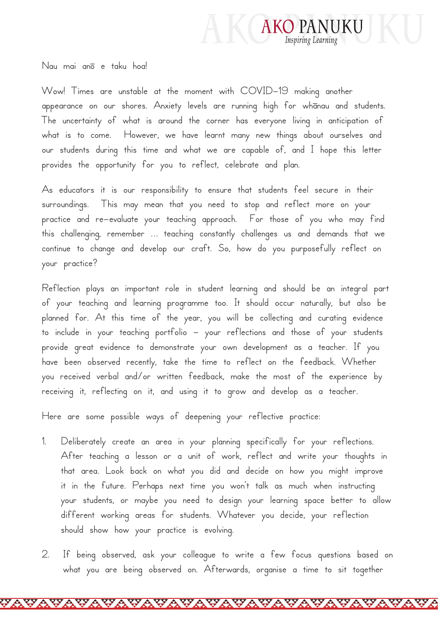

Nau mai anō e taku hoa!

Wow! Times are unstable at the moment with COVID-19 making another appearance on our shores. Anxiety levels are running high for whānau and students. The uncertainty of what is around the corner has everyone living in anticipation of what is to come. However, we have learnt many new things about ourselves and our students during this time and what we are capable of, and I hope this letter provides the opportunity for you to reflect, celebrate and plan.

As educators it is our responsibility to ensure that students feel secure in their surroundings. This may mean that you need to stop and reflect more on your practice and re-evaluate your teaching approach. For those of you who may find this challenging, remember … teaching constantly challenges us and demands that we continue to change and develop our craft. So, how do you purposefully reflect on your practice?

Reflection plays an important role in student learning and should be an integral part of your teaching and learning programme too. It should occur naturally, but also be planned for. At this time of the year, you will be collecting and curating evidence to include in your teaching portfolio – your reflections and those of your students provide great evidence to demonstrate your own development as a teacher. If you have been observed recently, take the time to reflect on the feedback. Whether you received verbal and/or written feedback, make the most of the experience by receiving it, reflecting on it, and using it to grow and develop as a teacher.

Here are some possible ways of deepening your reflective practice:

- 1. Deliberately create an area in your planning specifically for your reflections. After teaching a lesson or a unit of work, reflect and write your thoughts in that area. Look back on what you did and decide on how you might improve it in the future. Perhaps next time you won't talk as much when instructing your students, or maybe you need to design your learning space better to allow different working areas for students. Whatever you decide, your reflection should show how your practice is evolving.
- 2. If being observed, ask your colleague to write a few focus questions based on what you are being observed on. Afterwards, organise a time to sit together

YAYAYAYAYAYAYAYAYAYAYAY